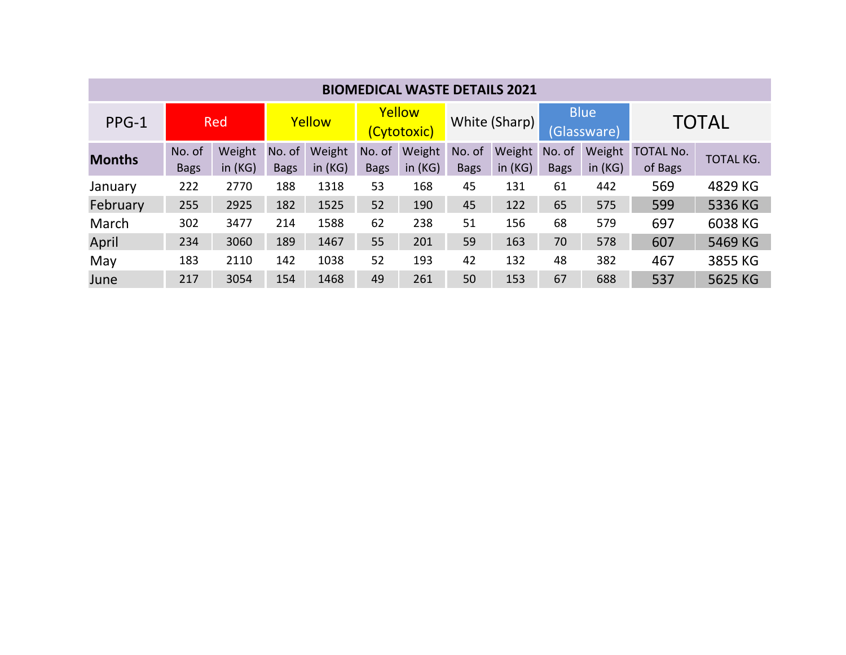| <b>BIOMEDICAL WASTE DETAILS 2021</b> |             |           |             |           |                       |           |               |           |                            |           |                  |                  |
|--------------------------------------|-------------|-----------|-------------|-----------|-----------------------|-----------|---------------|-----------|----------------------------|-----------|------------------|------------------|
| PPG-1                                | <b>Red</b>  |           | Yellow      |           | Yellow<br>(Cytotoxic) |           | White (Sharp) |           | <b>Blue</b><br>(Glassware) |           | <b>TOTAL</b>     |                  |
| <b>Months</b>                        | No. of      | Weight    | No. of      | Weight    | No. of                | Weight    | No. of        | Weight    | No. of                     | Weight    | <b>TOTAL No.</b> | <b>TOTAL KG.</b> |
|                                      | <b>Bags</b> | in $(KG)$ | <b>Bags</b> | in $(KG)$ | <b>Bags</b>           | in $(KG)$ | <b>Bags</b>   | in $(KG)$ | <b>Bags</b>                | in $(KG)$ | of Bags          |                  |
| January                              | 222         | 2770      | 188         | 1318      | 53                    | 168       | 45            | 131       | 61                         | 442       | 569              | 4829 KG          |
| February                             | 255         | 2925      | 182         | 1525      | 52                    | 190       | 45            | 122       | 65                         | 575       | 599              | 5336 KG          |
| March                                | 302         | 3477      | 214         | 1588      | 62                    | 238       | 51            | 156       | 68                         | 579       | 697              | 6038 KG          |
| April                                | 234         | 3060      | 189         | 1467      | 55                    | 201       | 59            | 163       | 70                         | 578       | 607              | 5469 KG          |
| May                                  | 183         | 2110      | 142         | 1038      | 52                    | 193       | 42            | 132       | 48                         | 382       | 467              | 3855 KG          |
| June                                 | 217         | 3054      | 154         | 1468      | 49                    | 261       | 50            | 153       | 67                         | 688       | 537              | 5625 KG          |